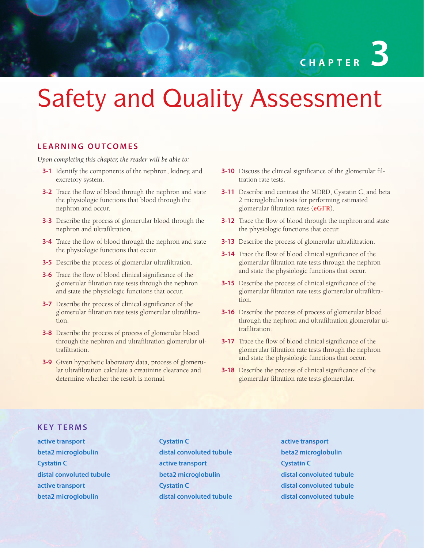# Safety and Quality Assessment

#### **LEARNING OUTCOMES**

*Upon completing this chapter, the reader will be able to:*

- **3-1** Identify the components of the nephron, kidney, and excretory system.
- **3-2** Trace the flow of blood through the nephron and state the physiologic functions that blood through the nephron and occur.
- **3-3** Describe the process of glomerular blood through the nephron and ultrafiltration.
- **3-4** Trace the flow of blood through the nephron and state the physiologic functions that occur.
- **3-5** Describe the process of glomerular ultrafiltration.
- **3-6** Trace the flow of blood clinical significance of the glomerular filtration rate tests through the nephron and state the physiologic functions that occur.
- **3-7** Describe the process of clinical significance of the glomerular filtration rate tests glomerular ultrafiltration.
- **3-8** Describe the process of process of glomerular blood through the nephron and ultrafiltration glomerular ultrafiltration.
- **3-9** Given hypothetic laboratory data, process of glomerular ultrafiltration calculate a creatinine clearance and determine whether the result is normal.
- **3-10** Discuss the clinical significance of the glomerular filtration rate tests.
- **3-11** Describe and contrast the MDRD, Cystatin C, and beta 2 microglobulin tests for performing estimated glomerular filtration rates (**eGFR**).
- **3-12** Trace the flow of blood through the nephron and state the physiologic functions that occur.
- **3-13** Describe the process of glomerular ultrafiltration.
- **3-14** Trace the flow of blood clinical significance of the glomerular filtration rate tests through the nephron and state the physiologic functions that occur.
- **3-15** Describe the process of clinical significance of the glomerular filtration rate tests glomerular ultrafiltration.
- **3-16** Describe the process of process of glomerular blood through the nephron and ultrafiltration glomerular ultrafiltration.
- **3-17** Trace the flow of blood clinical significance of the glomerular filtration rate tests through the nephron and state the physiologic functions that occur.
- **3-18** Describe the process of clinical significance of the glomerular filtration rate tests glomerular.

#### **KEY TERMS**

**active transport beta2 microglobulin Cystatin C distal convoluted tubule active transport beta2 microglobulin**

**Cystatin C distal convoluted tubule active transport beta2 microglobulin Cystatin C distal convoluted tubule** **active transport beta2 microglobulin Cystatin C distal convoluted tubule distal convoluted tubule distal convoluted tubule**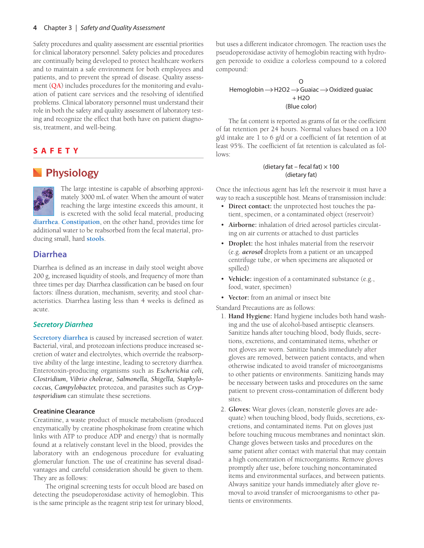Safety procedures and quality assessment are essential priorities for clinical laboratory personnel. Safety policies and procedures are continually being developed to protect healthcare workers and to maintain a safe environment for both employees and patients, and to prevent the spread of disease. Quality assessment (**QA**) includes procedures for the monitoring and evaluation of patient care services and the resolving of identified problems. Clinical laboratory personnel must understand their role in both the safety and quality assessment of laboratory testing and recognize the effect that both have on patient diagnosis, treatment, and well-being.

# **SAFETY**

# **Physiology**



The large intestine is capable of absorbing approximately 3000 mL of water. When the amount of water reaching the large intestine exceeds this amount, it is excreted with the solid fecal material, producing

**diarrhea**. **Constipation**, on the other hand, provides time for additional water to be reabsorbed from the fecal material, producing small, hard **stools**.

## **Diarrhea**

Diarrhea is defined as an increase in daily stool weight above 200 g, increased liquidity of stools, and frequency of more than three times per day. Diarrhea classification can be based on four factors: illness duration, mechanism, severity, and stool characteristics. Diarrhea lasting less than 4 weeks is defined as acute.

#### *Secretory Diarrhea*

**Secretory diarrhea** is caused by increased secretion of water. Bacterial, viral, and protozoan infections produce increased secretion of water and electrolytes, which override the reabsorptive ability of the large intestine, leading to secretory diarrhea. Enterotoxin-producing organisms such as *Escherichia coli, Clostridium, Vibrio cholerae, Salmonella, Shigella, Staphylococcus, Campylobacter,* protozoa, and parasites such as *Cryptosporidium* can stimulate these secretions.

#### **Creatinine Clearance**

Creatinine, a waste product of muscle metabolism (produced enzymatically by creatine phosphokinase from creatine which links with ATP to produce ADP and energy) that is normally found at a relatively constant level in the blood, provides the laboratory with an endogenous procedure for evaluating glomerular function. The use of creatinine has several disadvantages and careful consideration should be given to them. They are as follows:

The original screening tests for occult blood are based on detecting the pseudoperoxidase activity of hemoglobin. This is the same principle as the reagent strip test for urinary blood,

but uses a different indicator chromogen. The reaction uses the pseudoperoxidase activity of hemoglobin reacting with hydrogen peroxide to oxidize a colorless compound to a colored compound:

#### $\Omega$ Hemoglobin  $\rightarrow$  H2O2  $\rightarrow$  Guaiac  $\rightarrow$  Oxidized guaiac  $+$  H<sub>2</sub>O (Blue color)

The fat content is reported as grams of fat or the coefficient of fat retention per 24 hours. Normal values based on a 100 g/d intake are 1 to 6 g/d or a coefficient of fat retention of at least 95%. The coefficient of fat retention is calculated as follows:

#### (dietary fat – fecal fat)  $\times$  100 (dietary fat)

Once the infectious agent has left the reservoir it must have a way to reach a susceptible host. Means of transmission include:

- **Direct contact:** the unprotected host touches the patient, specimen, or a contaminated object (reservoir)
- **Airborne:** inhalation of dried aerosol particles circulating on air currents or attached to dust particles
- **Droplet:** the host inhales material from the reservoir (e.g. *aerosol* droplets from a patient or an uncapped centrifuge tube, or when specimens are aliquoted or spilled)
- **Vehicle:** ingestion of a contaminated substance (e.g., food, water, specimen)
- **Vector:** from an animal or insect bite

Standard Precautions are as follows:

- 1. **Hand Hygiene:** Hand hygiene includes both hand washing and the use of alcohol-based antiseptic cleansers. Sanitize hands after touching blood, body fluids, secretions, excretions, and contaminated items, whether or not gloves are worn. Sanitize hands immediately after gloves are removed, between patient contacts, and when otherwise indicated to avoid transfer of microorganisms to other patients or environments. Sanitizing hands may be necessary between tasks and procedures on the same patient to prevent cross-contamination of different body sites.
- 2. **Gloves:** Wear gloves (clean, nonsterile gloves are adequate) when touching blood, body fluids, secretions, excretions, and contaminated items. Put on gloves just before touching mucous membranes and nonintact skin. Change gloves between tasks and procedures on the same patient after contact with material that may contain a high concentration of microorganisms. Remove gloves promptly after use, before touching noncontaminated items and environmental surfaces, and between patients. Always sanitize your hands immediately after glove removal to avoid transfer of microorganisms to other patients or environments.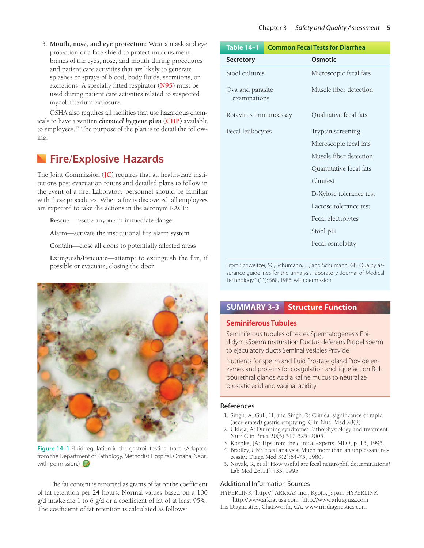3. **Mouth, nose, and eye protection:** Wear a mask and eye protection or a face shield to protect mucous membranes of the eyes, nose, and mouth during procedures and patient care activities that are likely to generate splashes or sprays of blood, body fluids, secretions, or excretions. A specially fitted respirator (**N95**) must be used during patient care activities related to suspected mycobacterium exposure.

OSHA also requires all facilities that use hazardous chemicals to have a written *chemical hygiene plan* **(CHP)** available to employees.13 The purpose of the plan is to detail the following:

# **Fire/Explosive Hazards**

The Joint Commission (**JC**) requires that all health-care institutions post evacuation routes and detailed plans to follow in the event of a fire. Laboratory personnel should be familiar with these procedures. When a fire is discovered, all employees are expected to take the actions in the acronym RACE:

**R**escue—rescue anyone in immediate danger

**A**larm—activate the institutional fire alarm system

**C**ontain—close all doors to potentially affected areas

**E**xtinguish/Evacuate—attempt to extinguish the fire, if possible or evacuate, closing the door



**Figure 14–1** Fluid regulation in the gastrointestinal tract. (Adapted from the Department of Pathology, Methodist Hospital, Omaha, Nebr., with permission.)

The fat content is reported as grams of fat or the coefficient of fat retention per 24 hours. Normal values based on a 100 g/d intake are 1 to 6 g/d or a coefficient of fat of at least 95%. The coefficient of fat retention is calculated as follows:

| Table 14-1                       | <b>Common Fecal Tests for Diarrhea</b> |                         |
|----------------------------------|----------------------------------------|-------------------------|
| <b>Secretory</b>                 |                                        | Osmotic                 |
| Stool cultures                   |                                        | Microscopic fecal fats  |
| Ova and parasite<br>examinations |                                        | Muscle fiber detection  |
| Rotavirus immunoassay            |                                        | Qualitative fecal fats  |
| Fecal leukocytes                 |                                        | Trypsin screening       |
|                                  |                                        | Microscopic fecal fats  |
|                                  |                                        | Muscle fiber detection  |
|                                  |                                        | Quantitative fecal fats |
|                                  |                                        | Clinitest               |
|                                  |                                        | D-Xylose tolerance test |
|                                  |                                        | Lactose tolerance test  |
|                                  |                                        | Fecal electrolytes      |
|                                  |                                        | Stool pH                |
|                                  |                                        | Fecal osmolality        |

From Schweitzer, SC, Schumann, JL, and Schumann, GB: Quality assurance guidelines for the urinalysis laboratory. Journal of Medical Technology 3(11): 568, 1986, with permission.

## **SUMMARY 3-3 Structure Function**

#### **Seminiferous Tubules**

Seminiferous tubules of testes Spermatogenesis EpididymisSperm maturation Ductus deferens Propel sperm to ejaculatory ducts Seminal vesicles Provide

Nutrients for sperm and fluid Prostate gland Provide enzymes and proteins for coagulation and liquefaction Bulbourethral glands Add alkaline mucus to neutralize prostatic acid and vaginal acidity

#### References

- 1. Singh, A, Gull, H, and Singh, R: Clinical significance of rapid (accelerated) gastric emptying. Clin Nucl Med 28(8)
- 2. Ukleja, A: Dumping syndrome: Pathophysiology and treatment. Nutr Clin Pract 20(5):517-525, 2005.
- 3. Koepke, JA: Tips from the clinical experts. MLO, p. 15, 1995.
- 4. Bradley, GM: Fecal analysis: Much more than an unpleasant necessity. Diagn Med 3(2):64-75, 1980.
- 5. Novak, R, et al: How useful are fecal neutrophil determinations? Lab Med 26(11):433, 1995.

#### Additional Information Sources

HYPERLINK "http://" ARKRAY Inc., Kyoto, Japan: HYPERLINK "http://www.arkrayusa.com" http://www.arkrayusa.com

Iris Diagnostics, Chatsworth, CA: www.irisdiagnostics.com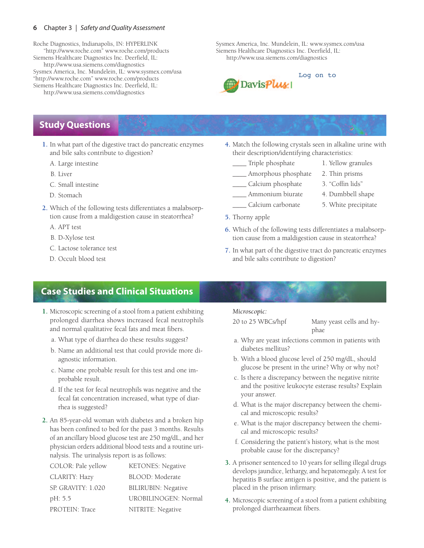#### **6** Chapter 3 | Safety and Quality Assessment

Roche Diagnostics, Indianapolis, IN: HYPERLINK "http://www.roche.com" www.roche.com/products Siemens Healthcare Diagnostics Inc. Deerfield, IL: http://www.usa.siemens.com/diagnostics Sysmex America, Inc. Mundelein, IL: www.sysmex.com/usa "http://www.roche.com" www.roche.com/products Siemens Healthcare Diagnostics Inc. Deerfield, IL: http://www.usa.siemens.com/diagnostics

Sysmex America, Inc. Mundelein, IL: www.sysmex.com/usa Siemens Healthcare Diagnostics Inc. Deerfield, IL: http://www.usa.siemens.com/diagnostics



# **Study Questions**

- **1.** In what part of the digestive tract do pancreatic enzymes and bile salts contribute to digestion?
	- A. Large intestine
	- B. Liver
	- C. Small intestine
	- D. Stomach
- **2.** Which of the following tests differentiates a malabsorption cause from a maldigestion cause in steatorrhea?
	- A. APT test
	- B. D-Xylose test
	- C. Lactose tolerance test
	- D. Occult blood test
- **4.** Match the following crystals seen in alkaline urine with their description/identifying characteristics:
	- \_\_\_\_ Triple phosphate 1. Yellow granules
	- \_\_\_\_ Amorphous phosphate 2. Thin prisms
	- \_\_\_\_ Calcium phosphate 3. "Coffin lids"
	-
	- \_\_\_\_ Calcium carbonate 5. White precipitate
- **5.** Thorny apple
- **6.** Which of the following tests differentiates a malabsorption cause from a maldigestion cause in steatorrhea?
- **7.** In what part of the digestive tract do pancreatic enzymes and bile salts contribute to digestion?

# **Case Studies and Clinical Situations**

- **1.** Microscopic screening of a stool from a patient exhibiting prolonged diarrhea shows increased fecal neutrophils and normal qualitative fecal fats and meat fibers.
	- a. What type of diarrhea do these results suggest?
	- b. Name an additional test that could provide more diagnostic information.
	- c. Name one probable result for this test and one improbable result.
	- d. If the test for fecal neutrophils was negative and the fecal fat concentration increased, what type of diarrhea is suggested?
- **2.** An 85-year-old woman with diabetes and a broken hip has been confined to bed for the past 3 months. Results of an ancillary blood glucose test are 250 mg/dL, and her physician orders additional blood tests and a routine urinalysis. The urinalysis report is as follows:

| COLOR: Pale yellow | KETONES: Negative          |
|--------------------|----------------------------|
| CLARITY: Hazy      | BLOOD: Moderate            |
| SP. GRAVITY: 1.020 | <b>BILIRUBIN: Negative</b> |
| pH: 5.5            | UROBILINOGEN: Normal       |
| PROTEIN: Trace     | NITRITE: Negative          |
|                    |                            |

#### *Microscopic:*

20 to 25 WBCs/hpf Many yeast cells and hyphae

- a. Why are yeast infections common in patients with diabetes mellitus?
- b. With a blood glucose level of 250 mg/dL, should glucose be present in the urine? Why or why not?
- c. Is there a discrepancy between the negative nitrite and the positive leukocyte esterase results? Explain your answer.
- d. What is the major discrepancy between the chemical and microscopic results?
- e. What is the major discrepancy between the chemical and microscopic results?
- f. Considering the patient's history, what is the most probable cause for the discrepancy?
- **3.** A prisoner sentenced to 10 years for selling illegal drugs develops jaundice, lethargy, and hepatomegaly. A test for hepatitis B surface antigen is positive, and the patient is placed in the prison infirmary.
- **4.** Microscopic screening of a stool from a patient exhibiting prolonged diarrheaameat fibers.
- 
- 
- \_\_\_\_ Ammonium biurate 4. Dumbbell shape
	-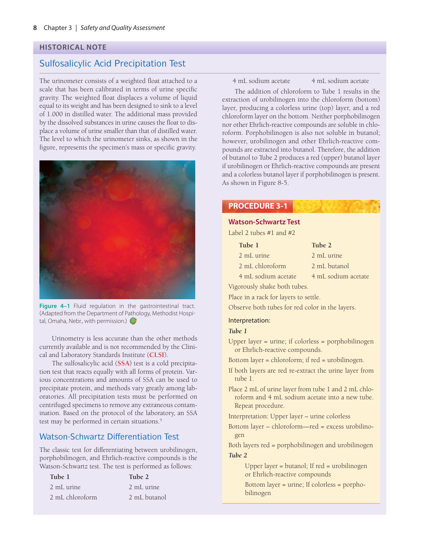#### **HISTORICAL NOTE**

# Sulfosalicylic Acid Precipitation Test

The urinometer consists of a weighted float attached to a scale that has been calibrated in terms of urine specific gravity. The weighted float displaces a volume of liquid equal to its weight and has been designed to sink to a level of 1.000 in distilled water. The additional mass provided by the dissolved substances in urine causes the float to displace a volume of urine smaller than that of distilled water. The level to which the urinometer sinks, as shown in the figure, represents the specimen's mass or specific gravity.



**Figure 4–1** Fluid regulation in the gastrointestinal tract. (Adapted from the Department of Pathology, Methodist Hospital, Omaha, Nebr., with permission.)

Urinometry is less accurate than the other methods currently available and is not recommended by the Clinical and Laboratory Standards Institute (**CLSI**).

The sulfosalicylic acid (**SSA**) test is a cold precipitation test that reacts equally with all forms of protein. Various concentrations and amounts of SSA can be used to precipitate protein, and methods vary greatly among laboratories. All precipitation tests must be performed on centrifuged specimens to remove any extraneous contamination. Based on the protocol of the laboratory, an SSA test may be performed in certain situations.<sup>5</sup>

#### Watson-Schwartz Differentiation Test

The classic test for differentiating between urobilinogen, porphobilinogen, and Ehrlich-reactive compounds is the Watson-Schwartz test. The test is performed as follows:

| Tube 1          | Tube 2       |
|-----------------|--------------|
| 2 mL urine      | 2 mL urine   |
| 2 mL chloroform | 2 mL butanol |

4 mL sodium acetate 4 mL sodium acetate

The addition of chloroform to Tube 1 results in the extraction of urobilinogen into the chloroform (bottom) layer, producing a colorless urine (top) layer, and a red chloroform layer on the bottom. Neither porphobilinogen nor other Ehrlich-reactive compounds are soluble in chloroform. Porphobilinogen is also not soluble in butanol; however, urobilinogen and other Ehrlich-reactive compounds are extracted into butanol. Therefore, the addition of butanol to Tube 2 produces a red (upper) butanol layer if urobilinogen or Ehrlich-reactive compounds are present and a colorless butanol layer if porphobilinogen is present. As shown in Figure 8-5.

### **PROCEDURE 3-1**

#### **Watson-Schwartz Test**

Label 2 tubes #1 and #2

| Tube 1          | Tube 2       |
|-----------------|--------------|
| 2 mL urine      | 2 mL urine   |
| 2 mL chloroform | 2 mL butanol |

4 mL sodium acetate 4 mL sodium acetate Vigorously shake both tubes.

Place in a rack for layers to settle.

Observe both tubes for red color in the layers.

#### Interpretation:

#### *Tube 1*

- Upper layer = urine; if colorless = porphobilinogen or Ehrlich-reactive compounds.
- Bottom layer = chloroform; if red = urobilinogen.
- If both layers are red re-extract the urine layer from tube 1.
- Place 2 mL of urine layer from tube 1 and 2 mL chloroform and 4 mL sodium acetate into a new tube. Repeat procedure.

Interpretation: Upper layer – urine colorless

Bottom layer – chloroform—red = excess urobilinogen

Both layers red = porphobilinogen and urobilinogen *Tube 2*

> Upper layer = butanol; If red = urobilinogen or Ehrlich-reactive compounds

Bottom layer = urine; If colorless = porphobilinogen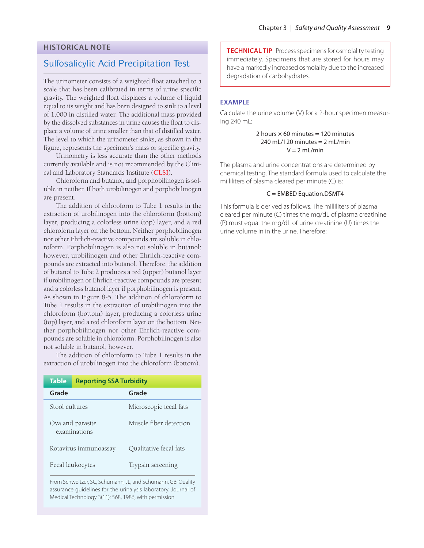#### **HISTORICAL NOTE**

#### Sulfosalicylic Acid Precipitation Test

The urinometer consists of a weighted float attached to a scale that has been calibrated in terms of urine specific gravity. The weighted float displaces a volume of liquid equal to its weight and has been designed to sink to a level of 1.000 in distilled water. The additional mass provided by the dissolved substances in urine causes the float to displace a volume of urine smaller than that of distilled water. The level to which the urinometer sinks, as shown in the figure, represents the specimen's mass or specific gravity.

Urinometry is less accurate than the other methods currently available and is not recommended by the Clinical and Laboratory Standards Institute (**CLSI**).

Chloroform and butanol, and porphobilinogen is soluble in neither. If both urobilinogen and porphobilinogen are present.

The addition of chloroform to Tube 1 results in the extraction of urobilinogen into the chloroform (bottom) layer, producing a colorless urine (top) layer, and a red chloroform layer on the bottom. Neither porphobilinogen nor other Ehrlich-reactive compounds are soluble in chloroform. Porphobilinogen is also not soluble in butanol; however, urobilinogen and other Ehrlich-reactive compounds are extracted into butanol. Therefore, the addition of butanol to Tube 2 produces a red (upper) butanol layer if urobilinogen or Ehrlich-reactive compounds are present and a colorless butanol layer if porphobilinogen is present. As shown in Figure 8-5. The addition of chloroform to Tube 1 results in the extraction of urobilinogen into the chloroform (bottom) layer, producing a colorless urine (top) layer, and a red chloroform layer on the bottom. Neither porphobilinogen nor other Ehrlich-reactive compounds are soluble in chloroform. Porphobilinogen is also not soluble in butanol; however.

The addition of chloroform to Tube 1 results in the extraction of urobilinogen into the chloroform (bottom).

| <b>Table</b>                     | <b>Reporting SSA Turbidity</b> |                        |
|----------------------------------|--------------------------------|------------------------|
| Grade                            |                                | Grade                  |
| Stool cultures                   |                                | Microscopic fecal fats |
| Ova and parasite<br>examinations |                                | Muscle fiber detection |
| Rotavirus immunoassay            |                                | Qualitative fecal fats |
| Fecal leukocytes                 |                                | Trypsin screening      |

From Schweitzer, SC, Schumann, JL, and Schumann, GB: Quality assurance guidelines for the urinalysis laboratory. Journal of Medical Technology 3(11): 568, 1986, with permission.

**TECHNICAL TIP** Process specimens for osmolality testing immediately. Specimens that are stored for hours may have a markedly increased osmolality due to the increased degradation of carbohydrates.

#### **EXAMPLE**

Calculate the urine volume (V) for a 2-hour specimen measuring 240 mL:

#### 2 hours  $\times$  60 minutes = 120 minutes 240 mL/120 minutes  $= 2$  mL/min  $V = 2$  ml /min

The plasma and urine concentrations are determined by chemical testing. The standard formula used to calculate the milliliters of plasma cleared per minute (C) is:

#### C = EMBED Equation.DSMT4

This formula is derived as follows. The milliliters of plasma cleared per minute (C) times the mg/dL of plasma creatinine (P) must equal the mg/dL of urine creatinine (U) times the urine volume in in the urine. Therefore: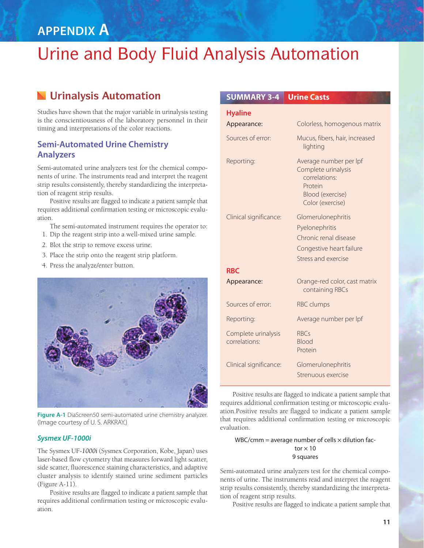# **APPENDIX A**

# Urine and Body Fluid Analysis Automation

# **Urinalysis Automation**

Studies have shown that the major variable in urinalysis testing is the conscientiousness of the laboratory personnel in their timing and interpretations of the color reactions.

## **Semi-Automated Urine Chemistry Analyzers**

Semi-automated urine analyzers test for the chemical components of urine. The instruments read and interpret the reagent strip results consistently, thereby standardizing the interpretation of reagent strip results.

Positive results are flagged to indicate a patient sample that requires additional confirmation testing or microscopic evaluation.

- The semi-automated instrument requires the operator to:
- 1. Dip the reagent strip into a well-mixed urine sample.
- 2. Blot the strip to remove excess urine.
- 3. Place the strip onto the reagent strip platform.
- 4. Press the analyze/enter button.



**Figure A-1** DiaScreen50 semi-automated urine chemistry analyzer. (Image courtesy of U. S. ARKRAY.)

#### *Sysmex UF-1000i*

The Sysmex UF-*1000i* (Sysmex Corporation, Kobe, Japan) uses laser-based flow cytometry that measures forward light scatter, side scatter, fluorescence staining characteristics, and adaptive cluster analysis to identify stained urine sediment particles (Figure A-11).

Positive results are flagged to indicate a patient sample that requires additional confirmation testing or microscopic evaluation.

| <b>SUMMARY 3-4</b>                   | <b>Urine Casts</b>                                                                                                       |
|--------------------------------------|--------------------------------------------------------------------------------------------------------------------------|
| <b>Hyaline</b>                       |                                                                                                                          |
| Appearance:                          | Colorless, homogenous matrix                                                                                             |
| Sources of error:                    | Mucus, fibers, hair, increased<br>lighting                                                                               |
| Reporting:                           | Average number per lpf<br>Complete urinalysis<br>correlations:<br>Protein<br><b>Blood (exercise)</b><br>Color (exercise) |
| Clinical significance:               | Glomerulonephritis<br>Pyelonephritis<br>Chronic renal disease<br>Congestive heart failure<br>Stress and exercise         |
| <b>RBC</b>                           |                                                                                                                          |
| Appearance:                          | Orange-red color, cast matrix<br>containing RBCs                                                                         |
| Sources of error:                    | <b>RBC</b> clumps                                                                                                        |
| Reporting:                           | Average number per lpf                                                                                                   |
| Complete urinalysis<br>correlations: | <b>RBCs</b><br>Blood<br>Protein                                                                                          |
| Clinical significance:               | Glomerulonephritis<br>Strenuous exercise                                                                                 |

Positive results are flagged to indicate a patient sample that requires additional confirmation testing or microscopic evaluation.Positive results are flagged to indicate a patient sample that requires additional confirmation testing or microscopic evaluation.

#### WBC/cmm = average number of cells  $\times$  dilution factor  $\times$  10 9 squares

Semi-automated urine analyzers test for the chemical components of urine. The instruments read and interpret the reagent strip results consistently, thereby standardizing the interpretation of reagent strip results.

Positive results are flagged to indicate a patient sample that